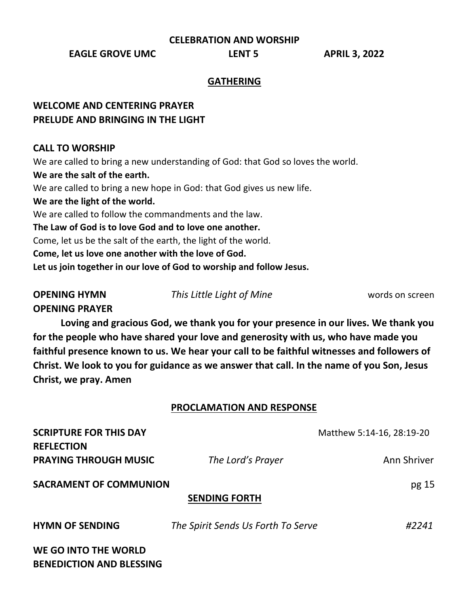**CELEBRATION AND WORSHIP**

**EAGLE GROVE UMC LENT 5 APRIL 3, 2022**

### **GATHERING**

## **WELCOME AND CENTERING PRAYER PRELUDE AND BRINGING IN THE LIGHT**

#### **CALL TO WORSHIP**

We are called to bring a new understanding of God: that God so loves the world. **We are the salt of the earth.** We are called to bring a new hope in God: that God gives us new life. **We are the light of the world.** We are called to follow the commandments and the law. **The Law of God is to love God and to love one another.** Come, let us be the salt of the earth, the light of the world. **Come, let us love one another with the love of God. Let us join together in our love of God to worship and follow Jesus.**

**OPENING PRAYER**

**OPENING HYMN** *This Little Light of Mine* words on screen

**Loving and gracious God, we thank you for your presence in our lives. We thank you for the people who have shared your love and generosity with us, who have made you faithful presence known to us. We hear your call to be faithful witnesses and followers of Christ. We look to you for guidance as we answer that call. In the name of you Son, Jesus Christ, we pray. Amen**

#### **PROCLAMATION AND RESPONSE**

| <b>SCRIPTURE FOR THIS DAY</b><br><b>REFLECTION</b>             |                                    | Matthew 5:14-16, 28:19-20 |
|----------------------------------------------------------------|------------------------------------|---------------------------|
| <b>PRAYING THROUGH MUSIC</b>                                   | The Lord's Prayer                  | Ann Shriver               |
| <b>SACRAMENT OF COMMUNION</b><br>pg 15<br><b>SENDING FORTH</b> |                                    |                           |
| <b>HYMN OF SENDING</b>                                         | The Spirit Sends Us Forth To Serve | #2241                     |
| WE GO INTO THE WORLD<br><b>BENEDICTION AND BLESSING</b>        |                                    |                           |